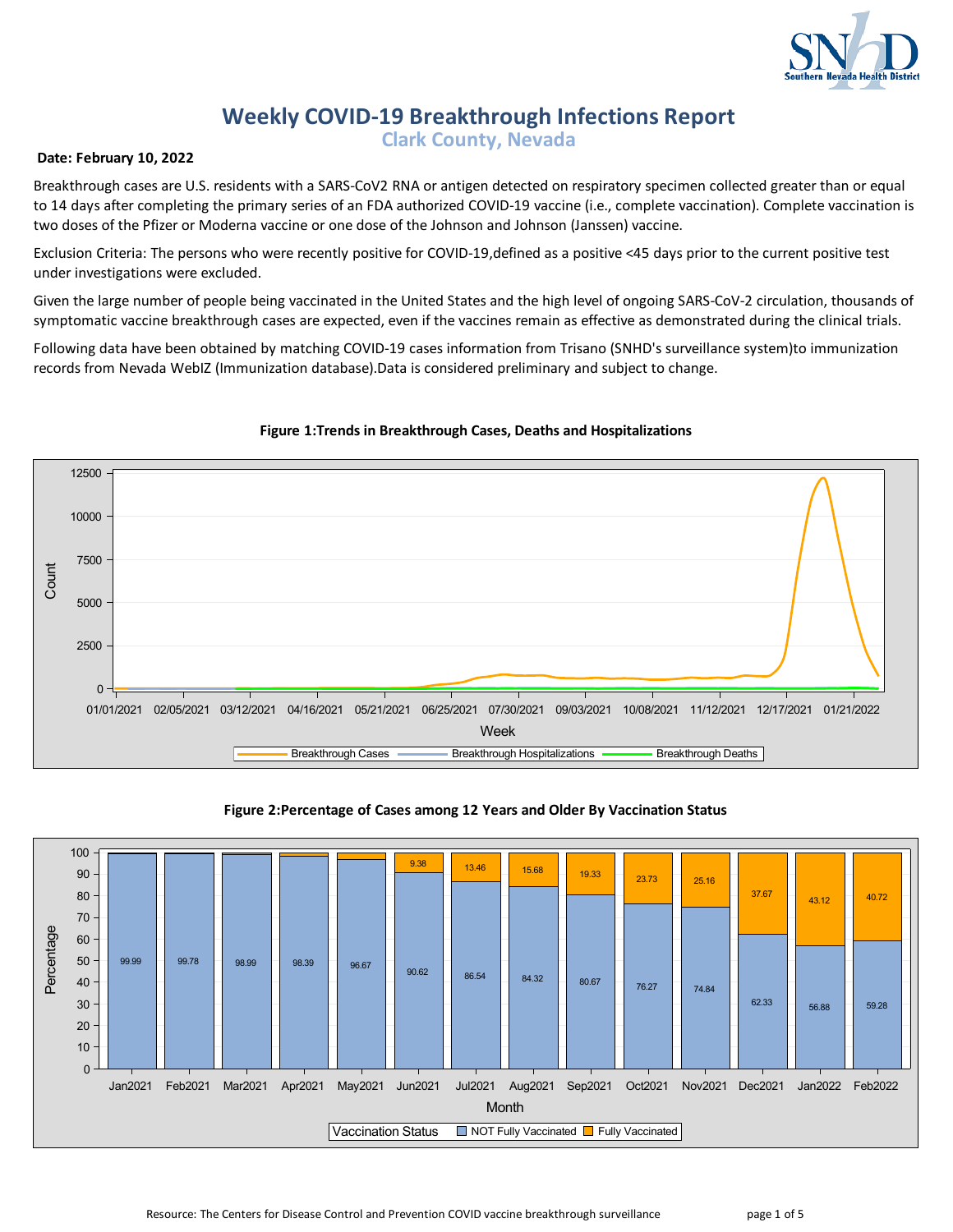

# **Weekly COVID-19 Breakthrough Infections Report**

**Clark County, Nevada**

## **Date: February 10, 2022**

Breakthrough cases are U.S. residents with a SARS-CoV2 RNA or antigen detected on respiratory specimen collected greater than or equal to 14 days after completing the primary series of an FDA authorized COVID-19 vaccine (i.e., complete vaccination). Complete vaccination is two doses of the Pfizer or Moderna vaccine or one dose of the Johnson and Johnson (Janssen) vaccine.

Exclusion Criteria: The persons who were recently positive for COVID-19,defined as a positive <45 days prior to the current positive test under investigations were excluded.

Given the large number of people being vaccinated in the United States and the high level of ongoing SARS-CoV-2 circulation, thousands of symptomatic vaccine breakthrough cases are expected, even if the vaccines remain as effective as demonstrated during the clinical trials.

Following data have been obtained by matching COVID-19 cases information from Trisano (SNHD's surveillance system)to immunization records from Nevada WebIZ (Immunization database).Data is considered preliminary and subject to change.



# **Figure 1:Trends in Breakthrough Cases, Deaths and Hospitalizations**

## **Figure 2:Percentage of Cases among 12 Years and Older By Vaccination Status**

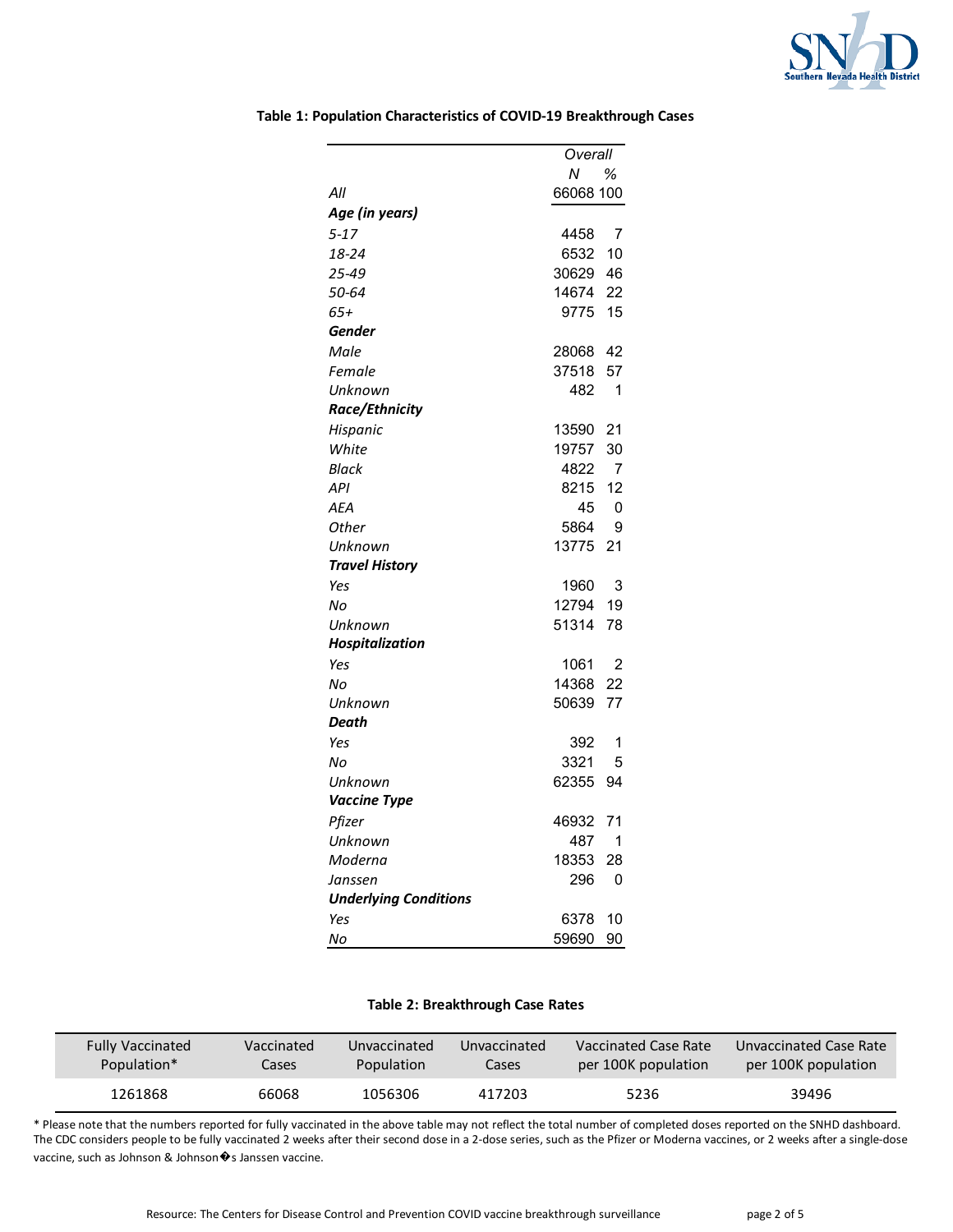

|                              | Overall     |
|------------------------------|-------------|
|                              | Ν<br>℅      |
| All                          | 66068 100   |
| Age (in years)               |             |
| $5 - 17$                     | 4458<br>7   |
| 18-24                        | 6532<br>10  |
| 25-49                        | 30629<br>46 |
| 50-64                        | 14674<br>22 |
| 65+                          | 15<br>9775  |
| Gender                       |             |
| Male                         | 28068<br>42 |
| Female                       | 37518<br>57 |
| Unknown                      | 482<br>1    |
| Race/Ethnicity               |             |
| Hispanic                     | 13590<br>21 |
| White                        | 19757<br>30 |
| Black                        | 4822<br>7   |
| API                          | 12<br>8215  |
| AEA                          | 0<br>45     |
| Other                        | 5864<br>9   |
| Unknown                      | 13775<br>21 |
| <b>Travel History</b>        |             |
| Yes                          | 1960<br>3   |
| No                           | 12794<br>19 |
| Unknown                      | 51314<br>78 |
| <b>Hospitalization</b>       |             |
| Yes                          | 1061<br>2   |
| Nο                           | 14368<br>22 |
| Unknown                      | 50639<br>77 |
| Death                        |             |
| Yes                          | 392<br>1    |
| Nο                           | 3321<br>5   |
| Unknown                      | 62355<br>94 |
| <b>Vaccine Type</b>          |             |
| Pfizer                       | 46932<br>71 |
| Unknown                      | 1<br>487    |
| Moderna                      | 18353<br>28 |
| Janssen                      | 296<br>0    |
| <b>Underlying Conditions</b> |             |
| Yes                          | 6378<br>10  |
| No                           | 59690<br>90 |

#### **Table 1: Population Characteristics of COVID-19 Breakthrough Cases**

#### **Table 2: Breakthrough Case Rates**

| <b>Fully Vaccinated</b> | Vaccinated | Unvaccinated | Unvaccinated | Vaccinated Case Rate | Unvaccinated Case Rate |
|-------------------------|------------|--------------|--------------|----------------------|------------------------|
| Population*             | Cases      | Population   | Cases        | per 100K population  | per 100K population    |
| 1261868                 | 66068      | 1056306      | 417203       | 5236                 |                        |

\* Please note that the numbers reported for fully vaccinated in the above table may not reflect the total number of completed doses reported on the SNHD dashboard. The CDC considers people to be fully vaccinated 2 weeks after their second dose in a 2-dose series, such as the Pfizer or Moderna vaccines, or 2 weeks after a single-dose vaccine, such as Johnson & Johnson  $\hat{\mathbf{\bullet}}$ s Janssen vaccine.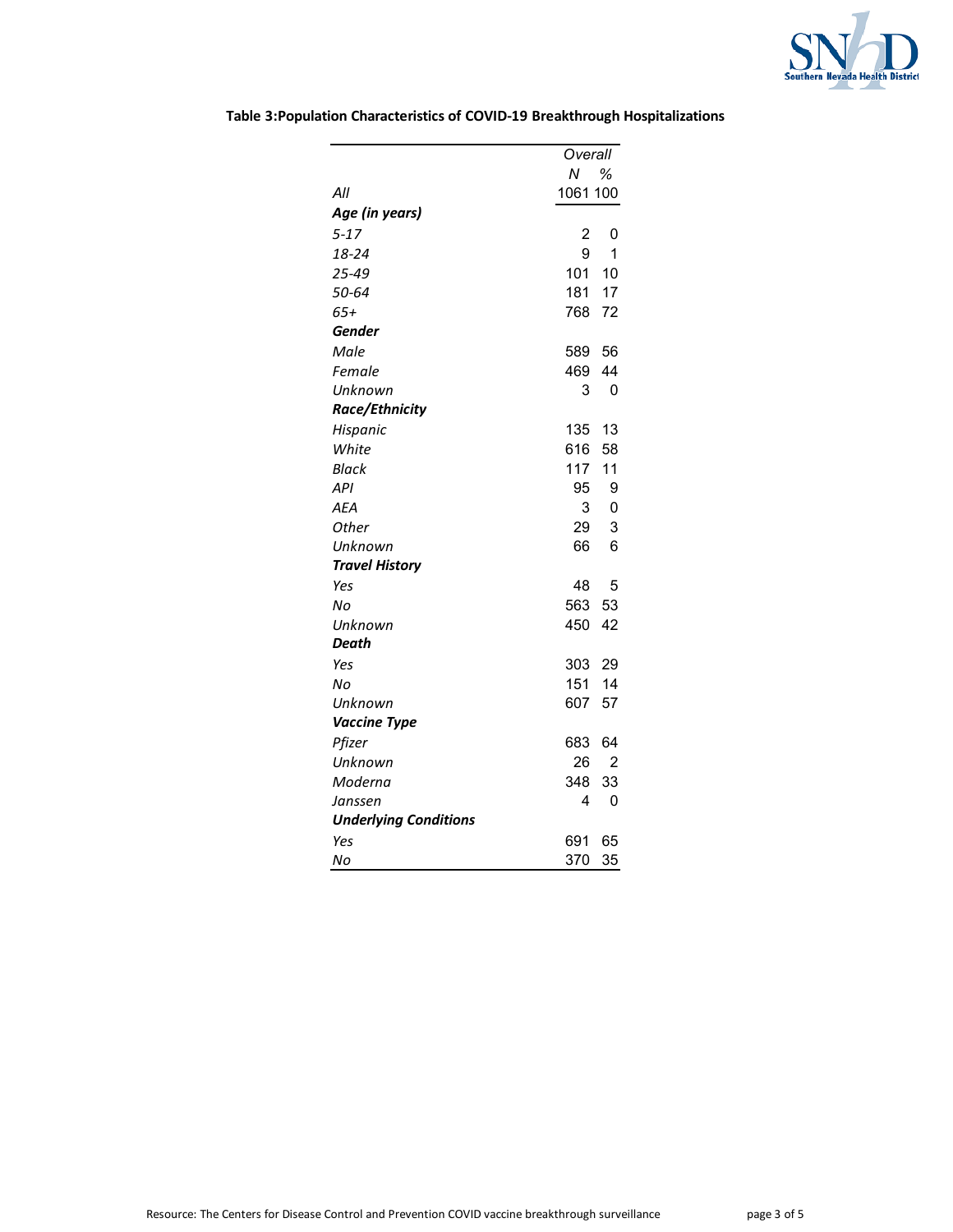

|                              | Overall  |                |
|------------------------------|----------|----------------|
|                              | Ν        | ℅              |
| All                          | 1061 100 |                |
| Age (in years)               |          |                |
| $5 - 17$                     | 2        | 0              |
| 18-24                        | 9        | 1              |
| 25-49                        | 101      | 10             |
| 50-64                        | 181 17   |                |
| $65+$                        | 768 72   |                |
| Gender                       |          |                |
| Male                         | 589 56   |                |
| Female                       | 469      | 44             |
| Unknown                      | 3        | 0              |
| Race/Ethnicity               |          |                |
| Hispanic                     | 135      | 13             |
| White                        | 616      | 58             |
| Black                        | 117      | 11             |
| <b>API</b>                   | 95       | 9              |
| <b>AEA</b>                   | 3        | 0              |
| Other                        | 29       | 3              |
| Unknown                      | 66       | 6              |
| <b>Travel History</b>        |          |                |
| Yes                          | 48       | 5              |
| No                           | 563 53   |                |
| Unknown                      | 450      | 42             |
| Death                        |          |                |
| Yes                          | 303 29   |                |
| Nο                           | 151 14   |                |
| Unknown                      | 607      | 57             |
| <b>Vaccine Type</b>          |          |                |
| Pfizer                       | 683      | 64             |
| Unknown                      | 26       | $\overline{2}$ |
| Moderna                      | 348      | 33             |
| Janssen                      | 4        | 0              |
| <b>Underlying Conditions</b> |          |                |
| Yes                          | 691      | 65             |
| No                           | 370      | 35             |

**Table 3:Population Characteristics of COVID-19 Breakthrough Hospitalizations**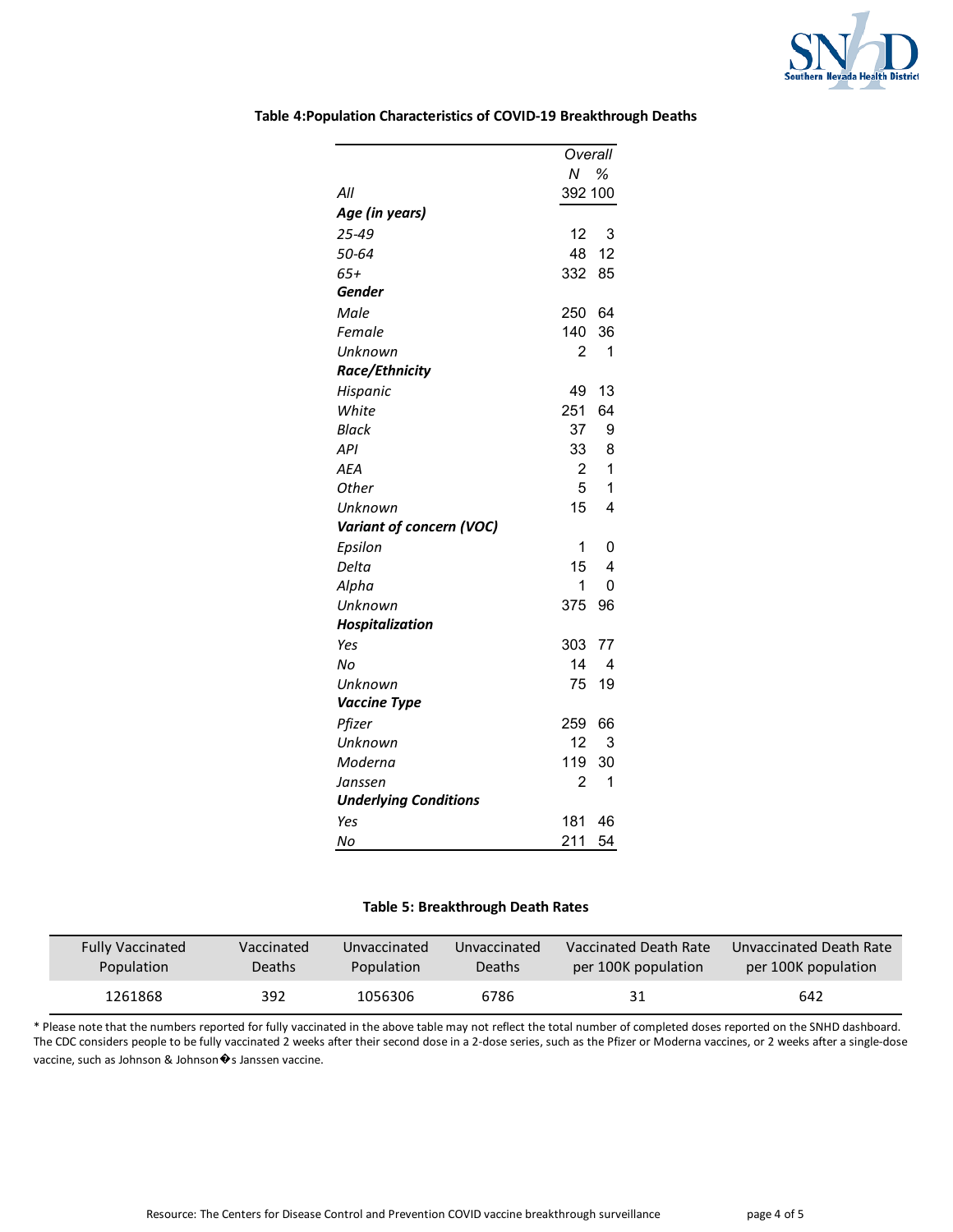

|                              | Overall             |
|------------------------------|---------------------|
|                              | Ν<br>%              |
| All                          | 392 100             |
| Age (in years)               |                     |
| 25-49                        | 12<br>3             |
| 50-64                        | 12<br>48            |
| 65+                          | 332<br>85           |
| Gender                       |                     |
| Male                         | 250<br>64           |
| Female                       | 140<br>36           |
| Unknown                      | 2<br>1              |
| Race/Ethnicity               |                     |
| Hispanic                     | 49<br>13            |
| White                        | 251<br>64           |
| <b>Black</b>                 | 37<br>9             |
| API                          | 33<br>8             |
| <b>AEA</b>                   | 1<br>2              |
| Other                        | 5<br>1              |
| Unknown                      | 15<br>4             |
| Variant of concern (VOC)     |                     |
| Epsilon                      | 1<br>0              |
| Delta                        | 15<br>4             |
| Alpha                        | 1<br>0              |
| Unknown                      | 375<br>96           |
| Hospitalization              |                     |
| Yes                          | 303<br>77           |
| Nο                           | 14<br>4             |
| Unknown                      | 75<br>19            |
| <b>Vaccine Type</b>          |                     |
| Pfizer                       | 259<br>66           |
| Unknown                      | 12<br>3             |
| Moderna                      | 119<br>30           |
| Janssen                      | $\overline{2}$<br>1 |
| <b>Underlying Conditions</b> |                     |
| Yes                          | 181<br>46           |
| No                           | 211<br>54           |

#### **Table 4:Population Characteristics of COVID-19 Breakthrough Deaths**

#### **Table 5: Breakthrough Death Rates**

| <b>Fully Vaccinated</b> | Vaccinated | Unvaccinated | Unvaccinated | Vaccinated Death Rate | Unvaccinated Death Rate |
|-------------------------|------------|--------------|--------------|-----------------------|-------------------------|
| Population              | Deaths     | Population   | Deaths       | per 100K population   | per 100K population     |
| 1261868                 | 392        | 1056306      | 6786         |                       | 642                     |

\* Please note that the numbers reported for fully vaccinated in the above table may not reflect the total number of completed doses reported on the SNHD dashboard. The CDC considers people to be fully vaccinated 2 weeks after their second dose in a 2-dose series, such as the Pfizer or Moderna vaccines, or 2 weeks after a single-dose vaccine, such as Johnson & Johnson �s Janssen vaccine.